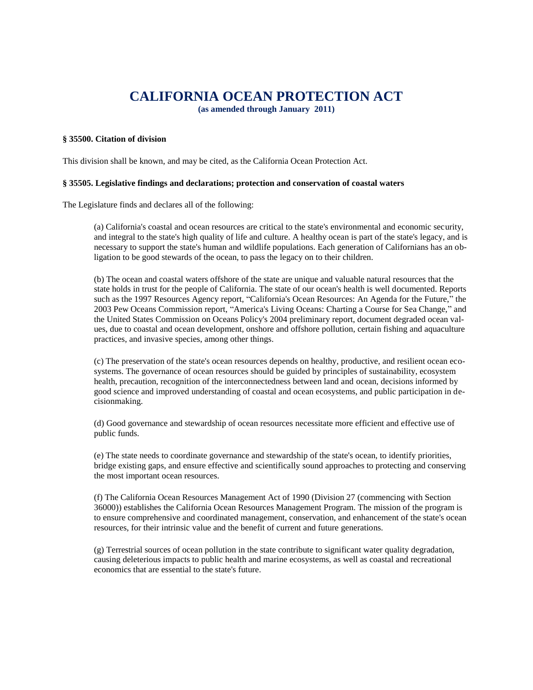# **CALIFORNIA OCEAN PROTECTION ACT**

**(as amended through January 2011)**

## **§ 35500. Citation of division**

This division shall be known, and may be cited, as the California Ocean Protection Act.

#### **§ 35505. Legislative findings and declarations; protection and conservation of coastal waters**

The Legislature finds and declares all of the following:

(a) California's coastal and ocean resources are critical to the state's environmental and economic security, and integral to the state's high quality of life and culture. A healthy ocean is part of the state's legacy, and is necessary to support the state's human and wildlife populations. Each generation of Californians has an obligation to be good stewards of the ocean, to pass the legacy on to their children.

(b) The ocean and coastal waters offshore of the state are unique and valuable natural resources that the state holds in trust for the people of California. The state of our ocean's health is well documented. Reports such as the 1997 Resources Agency report, "California's Ocean Resources: An Agenda for the Future," the 2003 Pew Oceans Commission report, "America's Living Oceans: Charting a Course for Sea Change," and the United States Commission on Oceans Policy's 2004 preliminary report, document degraded ocean values, due to coastal and ocean development, onshore and offshore pollution, certain fishing and aquaculture practices, and invasive species, among other things.

(c) The preservation of the state's ocean resources depends on healthy, productive, and resilient ocean ecosystems. The governance of ocean resources should be guided by principles of sustainability, ecosystem health, precaution, recognition of the interconnectedness between land and ocean, decisions informed by good science and improved understanding of coastal and ocean ecosystems, and public participation in decisionmaking.

(d) Good governance and stewardship of ocean resources necessitate more efficient and effective use of public funds.

(e) The state needs to coordinate governance and stewardship of the state's ocean, to identify priorities, bridge existing gaps, and ensure effective and scientifically sound approaches to protecting and conserving the most important ocean resources.

(f) The California Ocean Resources Management Act of 1990 (Division 27 (commencing with Section 36000)) establishes the California Ocean Resources Management Program. The mission of the program is to ensure comprehensive and coordinated management, conservation, and enhancement of the state's ocean resources, for their intrinsic value and the benefit of current and future generations.

(g) Terrestrial sources of ocean pollution in the state contribute to significant water quality degradation, causing deleterious impacts to public health and marine ecosystems, as well as coastal and recreational economics that are essential to the state's future.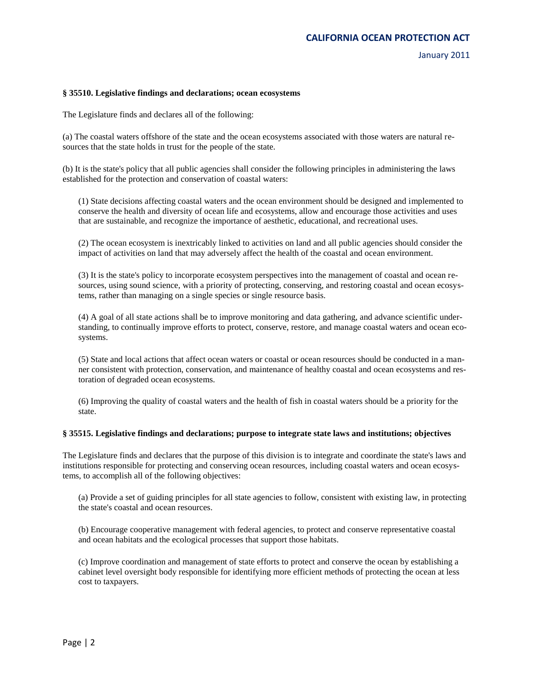#### **§ 35510. Legislative findings and declarations; ocean ecosystems**

The Legislature finds and declares all of the following:

(a) The coastal waters offshore of the state and the ocean ecosystems associated with those waters are natural resources that the state holds in trust for the people of the state.

(b) It is the state's policy that all public agencies shall consider the following principles in administering the laws established for the protection and conservation of coastal waters:

(1) State decisions affecting coastal waters and the ocean environment should be designed and implemented to conserve the health and diversity of ocean life and ecosystems, allow and encourage those activities and uses that are sustainable, and recognize the importance of aesthetic, educational, and recreational uses.

(2) The ocean ecosystem is inextricably linked to activities on land and all public agencies should consider the impact of activities on land that may adversely affect the health of the coastal and ocean environment.

(3) It is the state's policy to incorporate ecosystem perspectives into the management of coastal and ocean resources, using sound science, with a priority of protecting, conserving, and restoring coastal and ocean ecosystems, rather than managing on a single species or single resource basis.

(4) A goal of all state actions shall be to improve monitoring and data gathering, and advance scientific understanding, to continually improve efforts to protect, conserve, restore, and manage coastal waters and ocean ecosystems.

(5) State and local actions that affect ocean waters or coastal or ocean resources should be conducted in a manner consistent with protection, conservation, and maintenance of healthy coastal and ocean ecosystems and restoration of degraded ocean ecosystems.

(6) Improving the quality of coastal waters and the health of fish in coastal waters should be a priority for the state.

#### **§ 35515. Legislative findings and declarations; purpose to integrate state laws and institutions; objectives**

The Legislature finds and declares that the purpose of this division is to integrate and coordinate the state's laws and institutions responsible for protecting and conserving ocean resources, including coastal waters and ocean ecosystems, to accomplish all of the following objectives:

(a) Provide a set of guiding principles for all state agencies to follow, consistent with existing law, in protecting the state's coastal and ocean resources.

(b) Encourage cooperative management with federal agencies, to protect and conserve representative coastal and ocean habitats and the ecological processes that support those habitats.

(c) Improve coordination and management of state efforts to protect and conserve the ocean by establishing a cabinet level oversight body responsible for identifying more efficient methods of protecting the ocean at less cost to taxpayers.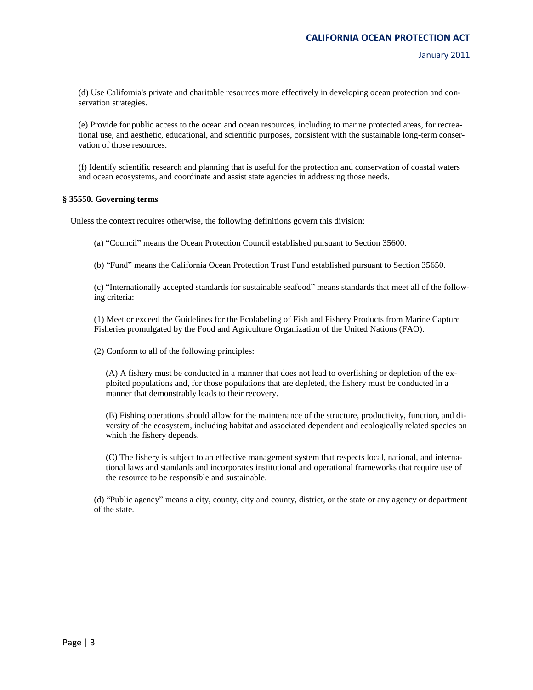January 2011

(d) Use California's private and charitable resources more effectively in developing ocean protection and conservation strategies.

(e) Provide for public access to the ocean and ocean resources, including to marine protected areas, for recreational use, and aesthetic, educational, and scientific purposes, consistent with the sustainable long-term conservation of those resources.

(f) Identify scientific research and planning that is useful for the protection and conservation of coastal waters and ocean ecosystems, and coordinate and assist state agencies in addressing those needs.

#### **§ 35550. Governing terms**

Unless the context requires otherwise, the following definitions govern this division:

(a) "Council" means the Ocean Protection Council established pursuant to Section 35600.

(b) "Fund" means the California Ocean Protection Trust Fund established pursuant to Section 35650.

(c) "Internationally accepted standards for sustainable seafood" means standards that meet all of the following criteria:

(1) Meet or exceed the Guidelines for the Ecolabeling of Fish and Fishery Products from Marine Capture Fisheries promulgated by the Food and Agriculture Organization of the United Nations (FAO).

(2) Conform to all of the following principles:

(A) A fishery must be conducted in a manner that does not lead to overfishing or depletion of the exploited populations and, for those populations that are depleted, the fishery must be conducted in a manner that demonstrably leads to their recovery.

(B) Fishing operations should allow for the maintenance of the structure, productivity, function, and diversity of the ecosystem, including habitat and associated dependent and ecologically related species on which the fishery depends.

(C) The fishery is subject to an effective management system that respects local, national, and international laws and standards and incorporates institutional and operational frameworks that require use of the resource to be responsible and sustainable.

(d) "Public agency" means a city, county, city and county, district, or the state or any agency or department of the state.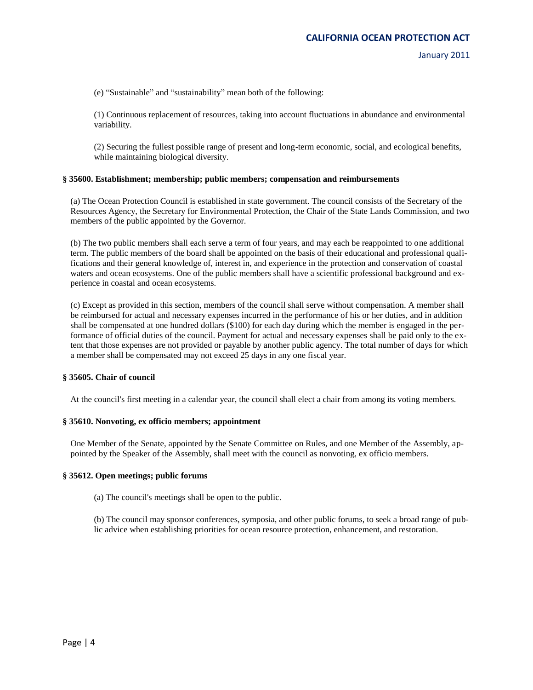(e) "Sustainable" and "sustainability" mean both of the following:

(1) Continuous replacement of resources, taking into account fluctuations in abundance and environmental variability.

(2) Securing the fullest possible range of present and long-term economic, social, and ecological benefits, while maintaining biological diversity.

#### **§ 35600. Establishment; membership; public members; compensation and reimbursements**

(a) The Ocean Protection Council is established in state government. The council consists of the Secretary of the Resources Agency, the Secretary for Environmental Protection, the Chair of the State Lands Commission, and two members of the public appointed by the Governor.

(b) The two public members shall each serve a term of four years, and may each be reappointed to one additional term. The public members of the board shall be appointed on the basis of their educational and professional qualifications and their general knowledge of, interest in, and experience in the protection and conservation of coastal waters and ocean ecosystems. One of the public members shall have a scientific professional background and experience in coastal and ocean ecosystems.

(c) Except as provided in this section, members of the council shall serve without compensation. A member shall be reimbursed for actual and necessary expenses incurred in the performance of his or her duties, and in addition shall be compensated at one hundred dollars (\$100) for each day during which the member is engaged in the performance of official duties of the council. Payment for actual and necessary expenses shall be paid only to the extent that those expenses are not provided or payable by another public agency. The total number of days for which a member shall be compensated may not exceed 25 days in any one fiscal year.

#### **§ 35605. Chair of council**

At the council's first meeting in a calendar year, the council shall elect a chair from among its voting members.

#### **§ 35610. Nonvoting, ex officio members; appointment**

One Member of the Senate, appointed by the Senate Committee on Rules, and one Member of the Assembly, appointed by the Speaker of the Assembly, shall meet with the council as nonvoting, ex officio members.

#### **§ 35612. Open meetings; public forums**

(a) The council's meetings shall be open to the public.

(b) The council may sponsor conferences, symposia, and other public forums, to seek a broad range of public advice when establishing priorities for ocean resource protection, enhancement, and restoration.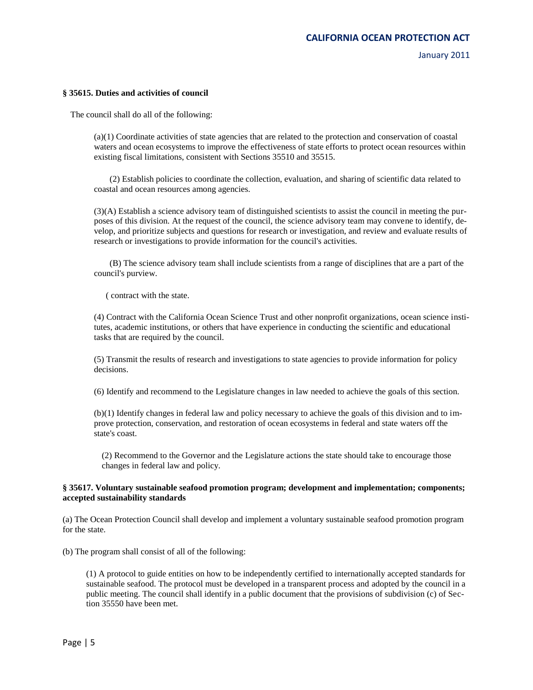#### **§ 35615. Duties and activities of council**

The council shall do all of the following:

(a)(1) Coordinate activities of state agencies that are related to the protection and conservation of coastal waters and ocean ecosystems to improve the effectiveness of state efforts to protect ocean resources within existing fiscal limitations, consistent with Sections 35510 and 35515.

(2) Establish policies to coordinate the collection, evaluation, and sharing of scientific data related to coastal and ocean resources among agencies.

(3)(A) Establish a science advisory team of distinguished scientists to assist the council in meeting the purposes of this division. At the request of the council, the science advisory team may convene to identify, develop, and prioritize subjects and questions for research or investigation, and review and evaluate results of research or investigations to provide information for the council's activities.

(B) The science advisory team shall include scientists from a range of disciplines that are a part of the council's purview.

( contract with the state.

(4) Contract with the California Ocean Science Trust and other nonprofit organizations, ocean science institutes, academic institutions, or others that have experience in conducting the scientific and educational tasks that are required by the council.

(5) Transmit the results of research and investigations to state agencies to provide information for policy decisions.

(6) Identify and recommend to the Legislature changes in law needed to achieve the goals of this section.

(b)(1) Identify changes in federal law and policy necessary to achieve the goals of this division and to improve protection, conservation, and restoration of ocean ecosystems in federal and state waters off the state's coast.

(2) Recommend to the Governor and the Legislature actions the state should take to encourage those changes in federal law and policy.

## **§ 35617. Voluntary sustainable seafood promotion program; development and implementation; components; accepted sustainability standards**

(a) The Ocean Protection Council shall develop and implement a voluntary sustainable seafood promotion program for the state.

(b) The program shall consist of all of the following:

(1) A protocol to guide entities on how to be independently certified to internationally accepted standards for sustainable seafood. The protocol must be developed in a transparent process and adopted by the council in a public meeting. The council shall identify in a public document that the provisions of subdivision (c) of Section 35550 have been met.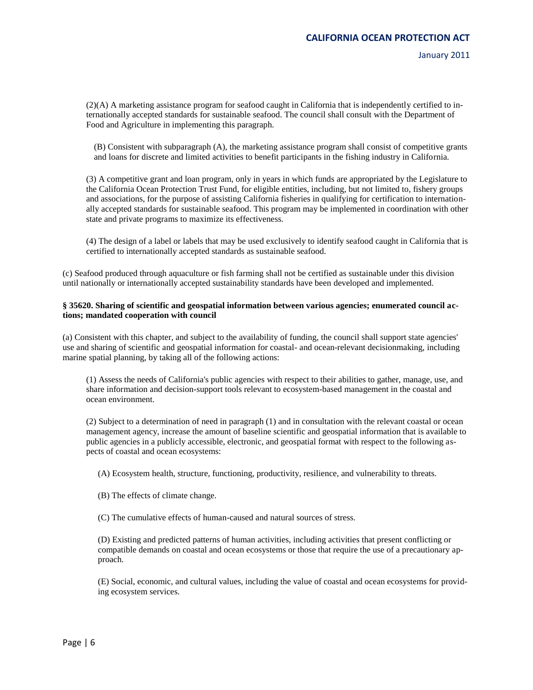January 2011

(2)(A) A marketing assistance program for seafood caught in California that is independently certified to internationally accepted standards for sustainable seafood. The council shall consult with the Department of Food and Agriculture in implementing this paragraph.

(B) Consistent with subparagraph (A), the marketing assistance program shall consist of competitive grants and loans for discrete and limited activities to benefit participants in the fishing industry in California.

(3) A competitive grant and loan program, only in years in which funds are appropriated by the Legislature to the California Ocean Protection Trust Fund, for eligible entities, including, but not limited to, fishery groups and associations, for the purpose of assisting California fisheries in qualifying for certification to internationally accepted standards for sustainable seafood. This program may be implemented in coordination with other state and private programs to maximize its effectiveness.

(4) The design of a label or labels that may be used exclusively to identify seafood caught in California that is certified to internationally accepted standards as sustainable seafood.

(c) Seafood produced through aquaculture or fish farming shall not be certified as sustainable under this division until nationally or internationally accepted sustainability standards have been developed and implemented.

#### **§ 35620. Sharing of scientific and geospatial information between various agencies; enumerated council actions; mandated cooperation with council**

(a) Consistent with this chapter, and subject to the availability of funding, the council shall support state agencies' use and sharing of scientific and geospatial information for coastal- and ocean-relevant decisionmaking, including marine spatial planning, by taking all of the following actions:

(1) Assess the needs of California's public agencies with respect to their abilities to gather, manage, use, and share information and decision-support tools relevant to ecosystem-based management in the coastal and ocean environment.

(2) Subject to a determination of need in paragraph (1) and in consultation with the relevant coastal or ocean management agency, increase the amount of baseline scientific and geospatial information that is available to public agencies in a publicly accessible, electronic, and geospatial format with respect to the following aspects of coastal and ocean ecosystems:

(A) Ecosystem health, structure, functioning, productivity, resilience, and vulnerability to threats.

(B) The effects of climate change.

(C) The cumulative effects of human-caused and natural sources of stress.

(D) Existing and predicted patterns of human activities, including activities that present conflicting or compatible demands on coastal and ocean ecosystems or those that require the use of a precautionary approach.

(E) Social, economic, and cultural values, including the value of coastal and ocean ecosystems for providing ecosystem services.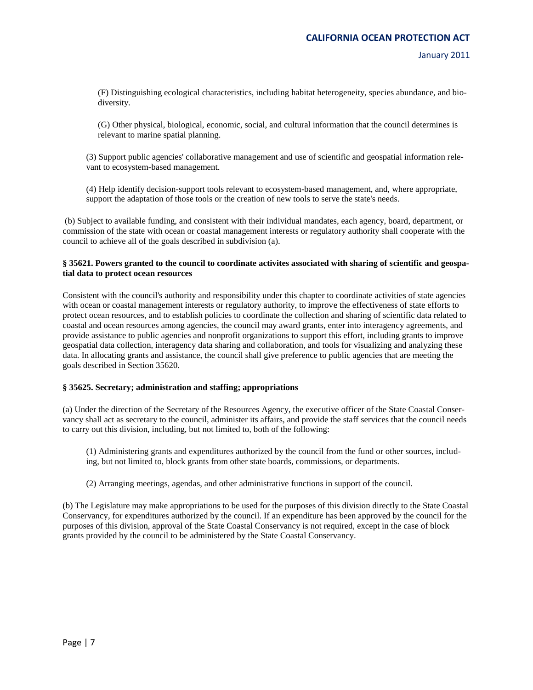(F) Distinguishing ecological characteristics, including habitat heterogeneity, species abundance, and biodiversity.

(G) Other physical, biological, economic, social, and cultural information that the council determines is relevant to marine spatial planning.

(3) Support public agencies' collaborative management and use of scientific and geospatial information relevant to ecosystem-based management.

(4) Help identify decision-support tools relevant to ecosystem-based management, and, where appropriate, support the adaptation of those tools or the creation of new tools to serve the state's needs.

(b) Subject to available funding, and consistent with their individual mandates, each agency, board, department, or commission of the state with ocean or coastal management interests or regulatory authority shall cooperate with the council to achieve all of the goals described in subdivision (a).

## **§ 35621. Powers granted to the council to coordinate activites associated with sharing of scientific and geospatial data to protect ocean resources**

Consistent with the council's authority and responsibility under this chapter to coordinate activities of state agencies with ocean or coastal management interests or regulatory authority, to improve the effectiveness of state efforts to protect ocean resources, and to establish policies to coordinate the collection and sharing of scientific data related to coastal and ocean resources among agencies, the council may award grants, enter into interagency agreements, and provide assistance to public agencies and nonprofit organizations to support this effort, including grants to improve geospatial data collection, interagency data sharing and collaboration, and tools for visualizing and analyzing these data. In allocating grants and assistance, the council shall give preference to public agencies that are meeting the goals described in Section 35620.

## **§ 35625. Secretary; administration and staffing; appropriations**

(a) Under the direction of the Secretary of the Resources Agency, the executive officer of the State Coastal Conservancy shall act as secretary to the council, administer its affairs, and provide the staff services that the council needs to carry out this division, including, but not limited to, both of the following:

(1) Administering grants and expenditures authorized by the council from the fund or other sources, including, but not limited to, block grants from other state boards, commissions, or departments.

(2) Arranging meetings, agendas, and other administrative functions in support of the council.

(b) The Legislature may make appropriations to be used for the purposes of this division directly to the State Coastal Conservancy, for expenditures authorized by the council. If an expenditure has been approved by the council for the purposes of this division, approval of the State Coastal Conservancy is not required, except in the case of block grants provided by the council to be administered by the State Coastal Conservancy.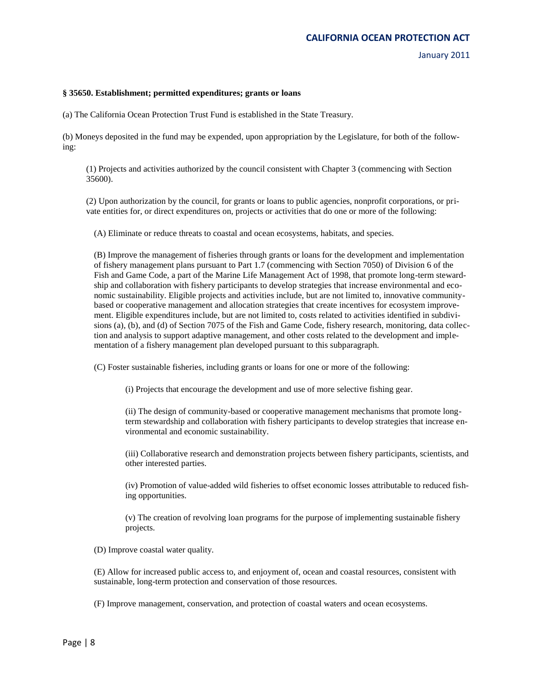#### **§ 35650. Establishment; permitted expenditures; grants or loans**

(a) The California Ocean Protection Trust Fund is established in the State Treasury.

(b) Moneys deposited in the fund may be expended, upon appropriation by the Legislature, for both of the following:

(1) Projects and activities authorized by the council consistent with Chapter 3 (commencing with Section 35600).

(2) Upon authorization by the council, for grants or loans to public agencies, nonprofit corporations, or private entities for, or direct expenditures on, projects or activities that do one or more of the following:

(A) Eliminate or reduce threats to coastal and ocean ecosystems, habitats, and species.

(B) Improve the management of fisheries through grants or loans for the development and implementation of fishery management plans pursuant to Part 1.7 (commencing with Section 7050) of Division 6 of the Fish and Game Code, a part of the Marine Life Management Act of 1998, that promote long-term stewardship and collaboration with fishery participants to develop strategies that increase environmental and economic sustainability. Eligible projects and activities include, but are not limited to, innovative communitybased or cooperative management and allocation strategies that create incentives for ecosystem improvement. Eligible expenditures include, but are not limited to, costs related to activities identified in subdivisions (a), (b), and (d) of Section 7075 of the Fish and Game Code, fishery research, monitoring, data collection and analysis to support adaptive management, and other costs related to the development and implementation of a fishery management plan developed pursuant to this subparagraph.

(C) Foster sustainable fisheries, including grants or loans for one or more of the following:

(i) Projects that encourage the development and use of more selective fishing gear.

(ii) The design of community-based or cooperative management mechanisms that promote longterm stewardship and collaboration with fishery participants to develop strategies that increase environmental and economic sustainability.

(iii) Collaborative research and demonstration projects between fishery participants, scientists, and other interested parties.

(iv) Promotion of value-added wild fisheries to offset economic losses attributable to reduced fishing opportunities.

(v) The creation of revolving loan programs for the purpose of implementing sustainable fishery projects.

(D) Improve coastal water quality.

(E) Allow for increased public access to, and enjoyment of, ocean and coastal resources, consistent with sustainable, long-term protection and conservation of those resources.

(F) Improve management, conservation, and protection of coastal waters and ocean ecosystems.